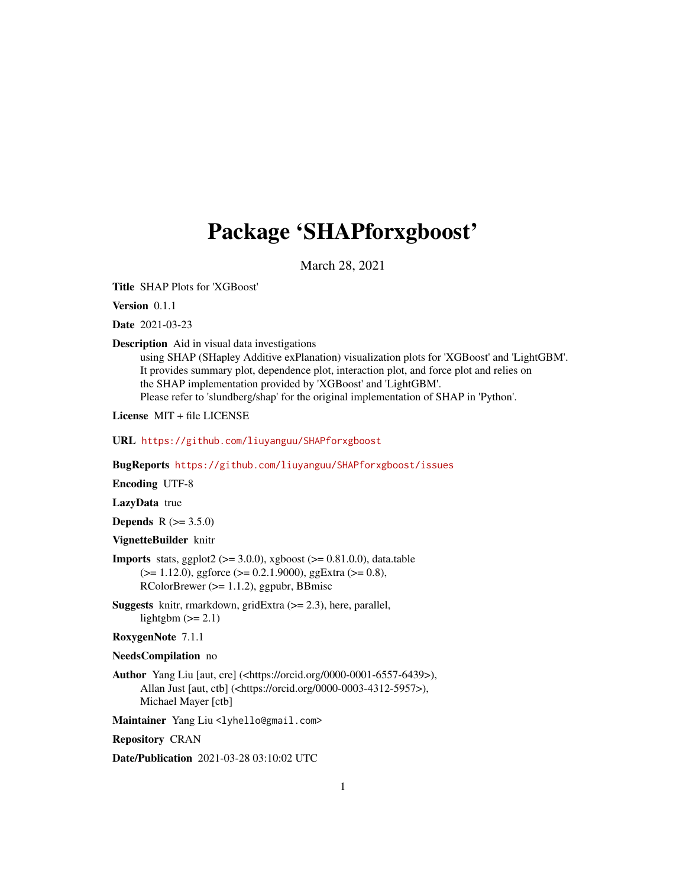# Package 'SHAPforxgboost'

March 28, 2021

Title SHAP Plots for 'XGBoost'

Version 0.1.1

Date 2021-03-23

Description Aid in visual data investigations

using SHAP (SHapley Additive exPlanation) visualization plots for 'XGBoost' and 'LightGBM'. It provides summary plot, dependence plot, interaction plot, and force plot and relies on the SHAP implementation provided by 'XGBoost' and 'LightGBM'. Please refer to 'slundberg/shap' for the original implementation of SHAP in 'Python'.

License MIT + file LICENSE

URL <https://github.com/liuyanguu/SHAPforxgboost>

BugReports <https://github.com/liuyanguu/SHAPforxgboost/issues>

Encoding UTF-8

LazyData true

**Depends** R  $(>= 3.5.0)$ 

VignetteBuilder knitr

**Imports** stats, ggplot2 ( $>= 3.0.0$ ), xgboost ( $>= 0.81.0.0$ ), data.table (>= 1.12.0), ggforce (>= 0.2.1.9000), ggExtra (>= 0.8), RColorBrewer (>= 1.1.2), ggpubr, BBmisc

**Suggests** knitr, rmarkdown, gridExtra  $(>= 2.3)$ , here, parallel, lightgbm  $(>= 2.1)$ 

RoxygenNote 7.1.1

NeedsCompilation no

Author Yang Liu [aut, cre] (<https://orcid.org/0000-0001-6557-6439>), Allan Just [aut, ctb] (<https://orcid.org/0000-0003-4312-5957>), Michael Mayer [ctb]

Maintainer Yang Liu <lyhello@gmail.com>

Repository CRAN

Date/Publication 2021-03-28 03:10:02 UTC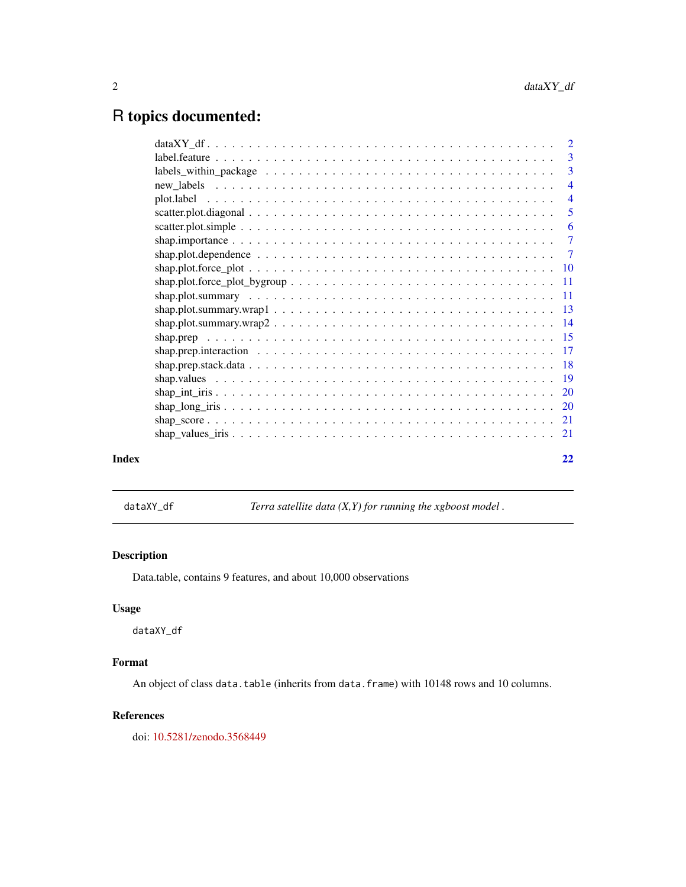# <span id="page-1-0"></span>R topics documented:

|       | $\overline{4}$ |
|-------|----------------|
|       |                |
|       |                |
|       |                |
|       |                |
|       |                |
|       |                |
|       |                |
|       |                |
|       |                |
|       |                |
|       |                |
|       |                |
|       |                |
|       |                |
|       |                |
|       |                |
|       |                |
|       |                |
| Index | 22             |
|       |                |

dataXY\_df *Terra satellite data (X,Y) for running the xgboost model .*

# Description

Data.table, contains 9 features, and about 10,000 observations

# Usage

dataXY\_df

# Format

An object of class data.table (inherits from data.frame) with 10148 rows and 10 columns.

# References

doi: [10.5281/zenodo.3568449](https://doi.org/10.5281/zenodo.3568449)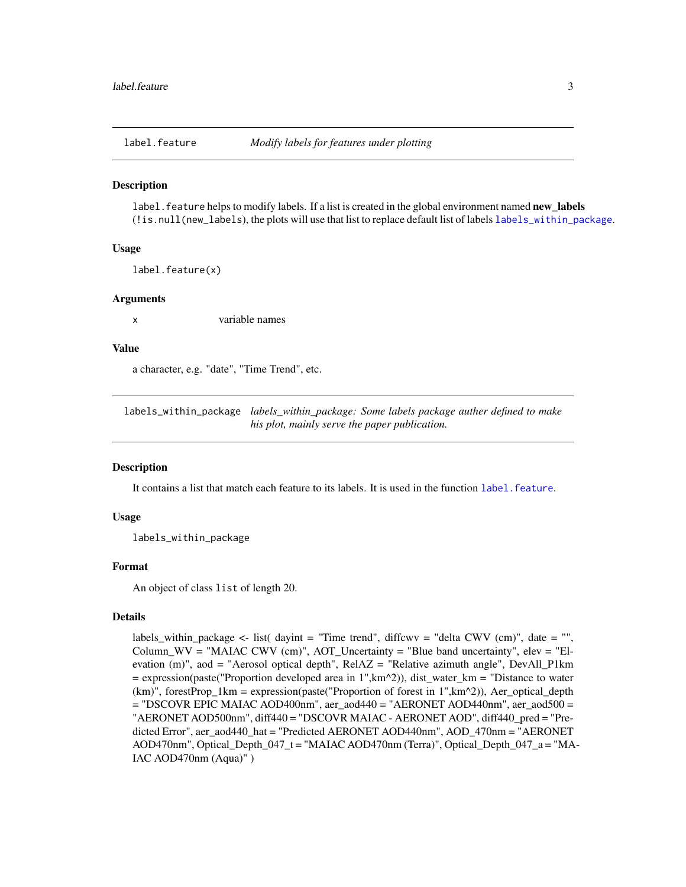<span id="page-2-2"></span><span id="page-2-0"></span>

#### Description

label. feature helps to modify labels. If a list is created in the global environment named **new labels** (!is.null(new\_labels), the plots will use that list to replace default list of labels [labels\\_within\\_package](#page-2-1).

#### Usage

label.feature(x)

#### Arguments

x variable names

#### Value

a character, e.g. "date", "Time Trend", etc.

<span id="page-2-1"></span>labels\_within\_package *labels\_within\_package: Some labels package auther defined to make his plot, mainly serve the paper publication.*

# Description

It contains a list that match each feature to its labels. It is used in the function label. feature.

# Usage

labels\_within\_package

#### Format

An object of class list of length 20.

### Details

labels\_within\_package <- list( dayint = "Time trend", diffcwv = "delta CWV (cm)", date = "", Column\_WV = "MAIAC CWV (cm)",  $AOT$ \_Uncertainty = "Blue band uncertainty", elev = "Elevation (m)", aod = "Aerosol optical depth", RelAZ = "Relative azimuth angle", DevAll\_P1km = expression(paste("Proportion developed area in 1",km^2)), dist\_water\_km = "Distance to water  $(km)$ ", forestProp 1km = expression(paste("Proportion of forest in 1", $km^2$ )), Aer\_optical\_depth = "DSCOVR EPIC MAIAC AOD400nm", aer\_aod440 = "AERONET AOD440nm", aer\_aod500 = "AERONET AOD500nm", diff440 = "DSCOVR MAIAC - AERONET AOD", diff440\_pred = "Predicted Error", aer\_aod440\_hat = "Predicted AERONET AOD440nm", AOD\_470nm = "AERONET AOD470nm", Optical\_Depth\_047\_t = "MAIAC AOD470nm (Terra)", Optical\_Depth\_047\_a = "MA-IAC AOD470nm (Aqua)" )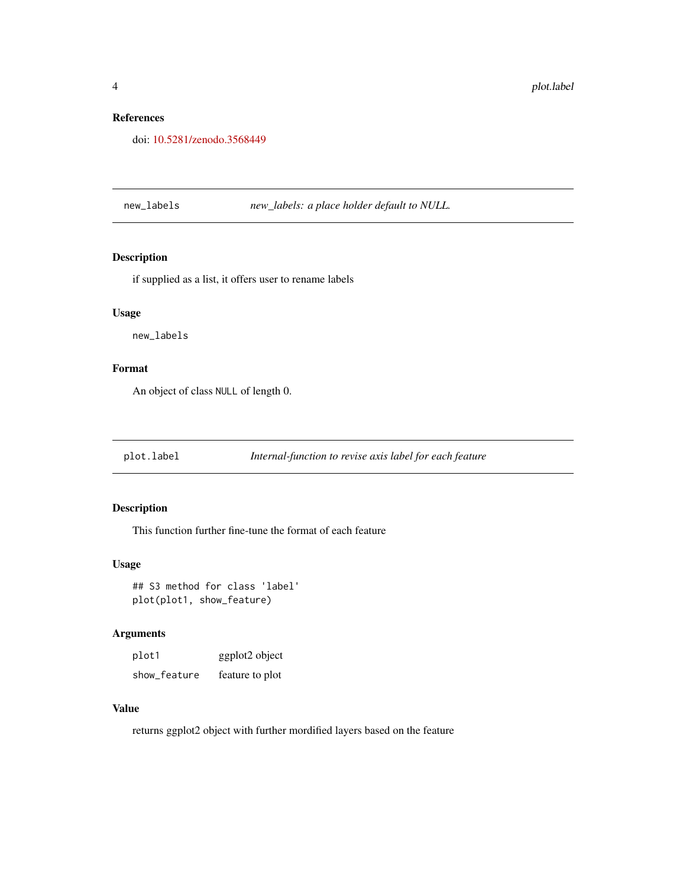# <span id="page-3-0"></span>References

doi: [10.5281/zenodo.3568449](https://doi.org/10.5281/zenodo.3568449)

new\_labels *new\_labels: a place holder default to NULL.*

# Description

if supplied as a list, it offers user to rename labels

# Usage

new\_labels

# Format

An object of class NULL of length 0.

plot.label *Internal-function to revise axis label for each feature*

# Description

This function further fine-tune the format of each feature

#### Usage

```
## S3 method for class 'label'
plot(plot1, show_feature)
```
# Arguments

| plot1        | ggplot2 object  |
|--------------|-----------------|
| show_feature | feature to plot |

# Value

returns ggplot2 object with further mordified layers based on the feature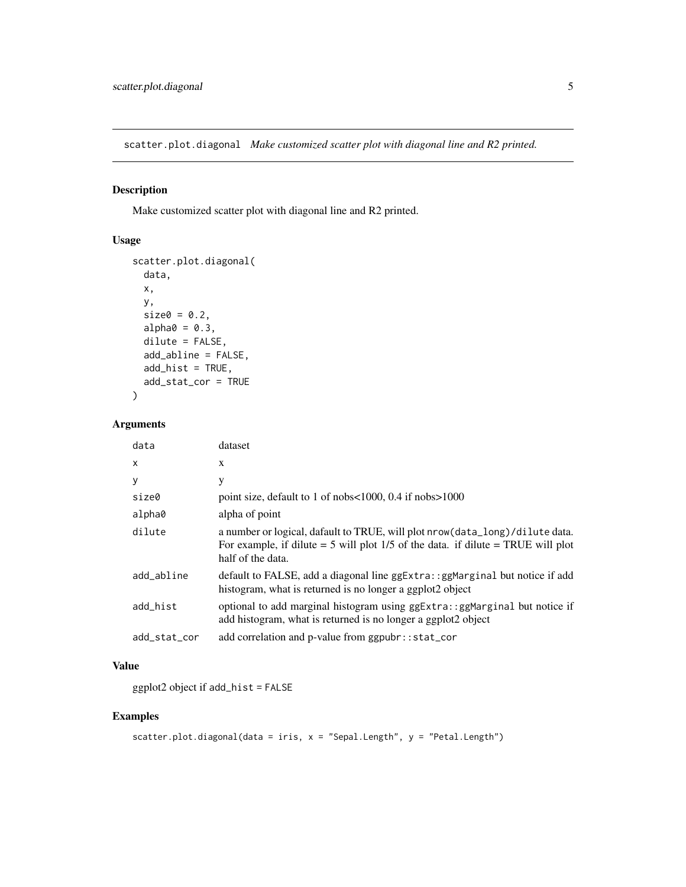<span id="page-4-0"></span>scatter.plot.diagonal *Make customized scatter plot with diagonal line and R2 printed.*

# Description

Make customized scatter plot with diagonal line and R2 printed.

# Usage

```
scatter.plot.diagonal(
  data,
 x,
 y,
  size0 = 0.2,
  alpha0 = 0.3,
 dilute = FALSE,
  add_abline = FALSE,
  add\_hist = TRUE,add_stat_cor = TRUE
)
```
# Arguments

| data         | dataset                                                                                                                                                                                    |
|--------------|--------------------------------------------------------------------------------------------------------------------------------------------------------------------------------------------|
| $\mathsf{x}$ | X                                                                                                                                                                                          |
| У            | y                                                                                                                                                                                          |
| size0        | point size, default to 1 of nobs<1000, 0.4 if nobs>1000                                                                                                                                    |
| alpha0       | alpha of point                                                                                                                                                                             |
| dilute       | a number or logical, dafault to TRUE, will plot nrow (data_long)/dilute data.<br>For example, if dilute $=$ 5 will plot 1/5 of the data. if dilute $=$ TRUE will plot<br>half of the data. |
| add_abline   | default to FALSE, add a diagonal line ggExtra: : ggMarginal but notice if add<br>histogram, what is returned is no longer a ggplot2 object                                                 |
| add_hist     | optional to add marginal histogram using ggExtra:: ggMarginal but notice if<br>add histogram, what is returned is no longer a ggplot2 object                                               |
| add_stat_cor | add correlation and p-value from ggpubr::stat_cor                                                                                                                                          |

# Value

ggplot2 object if add\_hist = FALSE

```
scatter.plot.diagonal(data = iris, x = "Sepal.Length", y = "Petal.Length")
```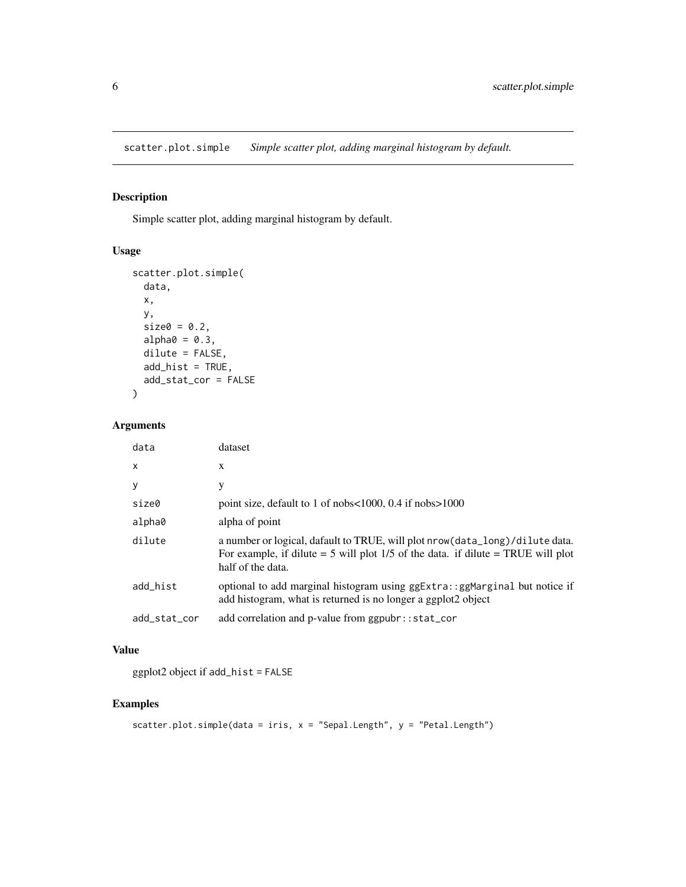<span id="page-5-0"></span>scatter.plot.simple *Simple scatter plot, adding marginal histogram by default.*

# Description

Simple scatter plot, adding marginal histogram by default.

# Usage

```
scatter.plot.simple(
 data,
 x,
 y,
 size0 = 0.2,
 alpha0 = 0.3,
 dilute = FALSE,
 add\_hist = TRUE,add_stat_cor = FALSE
)
```
# Arguments

| data         | dataset                                                                                                                                                                                    |
|--------------|--------------------------------------------------------------------------------------------------------------------------------------------------------------------------------------------|
| X            | X                                                                                                                                                                                          |
| У            | у                                                                                                                                                                                          |
| size0        | point size, default to 1 of nobs<1000, 0.4 if nobs>1000                                                                                                                                    |
| alpha0       | alpha of point                                                                                                                                                                             |
| dilute       | a number or logical, dafault to TRUE, will plot nrow (data_long)/dilute data.<br>For example, if dilute $=$ 5 will plot 1/5 of the data. if dilute $=$ TRUE will plot<br>half of the data. |
| add_hist     | optional to add marginal histogram using ggExtra:: ggMarginal but notice if<br>add histogram, what is returned is no longer a ggplot2 object                                               |
| add_stat_cor | add correlation and p-value from ggpubr::stat_cor                                                                                                                                          |

# Value

ggplot2 object if add\_hist = FALSE

```
scatter.plot.simple(data = iris, x = "Sepal.Length", y = "Petal.Length")
```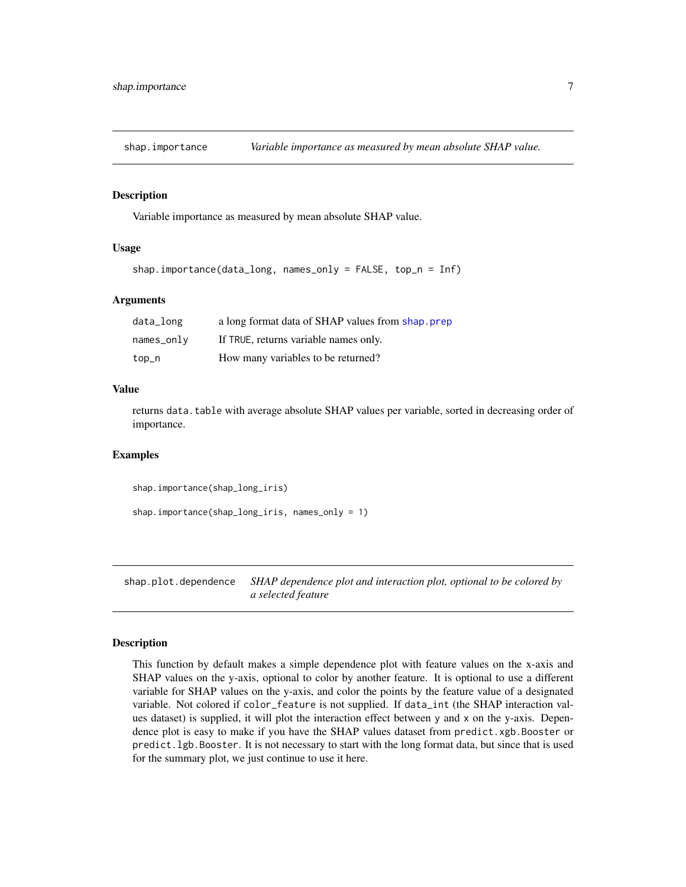<span id="page-6-0"></span>shap.importance *Variable importance as measured by mean absolute SHAP value.*

#### Description

Variable importance as measured by mean absolute SHAP value.

#### Usage

```
shap.importance(data_long, names_only = FALSE, top_n = Inf)
```
#### Arguments

| data_long    | a long format data of SHAP values from shap, prep |
|--------------|---------------------------------------------------|
| $names_only$ | If TRUE, returns variable names only.             |
| top_n        | How many variables to be returned?                |

# Value

returns data.table with average absolute SHAP values per variable, sorted in decreasing order of importance.

#### Examples

shap.importance(shap\_long\_iris)

```
shap.importance(shap_long_iris, names_only = 1)
```
shap.plot.dependence *SHAP dependence plot and interaction plot, optional to be colored by a selected feature*

#### **Description**

This function by default makes a simple dependence plot with feature values on the x-axis and SHAP values on the y-axis, optional to color by another feature. It is optional to use a different variable for SHAP values on the y-axis, and color the points by the feature value of a designated variable. Not colored if color\_feature is not supplied. If data\_int (the SHAP interaction values dataset) is supplied, it will plot the interaction effect between y and x on the y-axis. Dependence plot is easy to make if you have the SHAP values dataset from predict.xgb.Booster or predict.lgb.Booster. It is not necessary to start with the long format data, but since that is used for the summary plot, we just continue to use it here.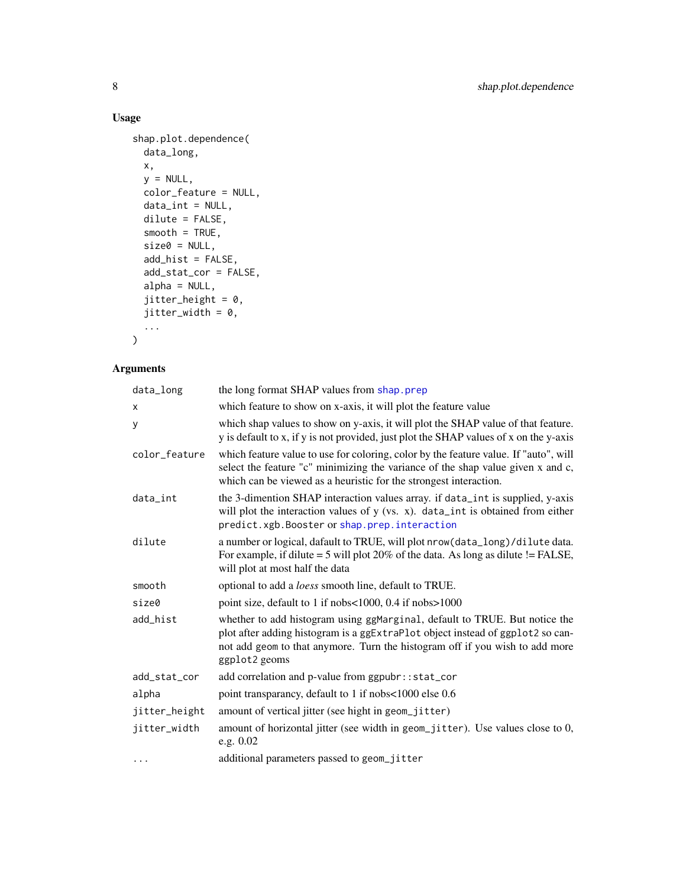# Usage

```
shap.plot.dependence(
 data_long,
 x,
 y = NULL,color_feature = NULL,
 data_int = NULL,
 dilute = FALSE,
 smooth = TRUE,size0 = NULL,add_hist = FALSE,
 add_stat_cor = FALSE,
 alpha = NULL,
 jitter_height = 0,
 jitter\_width = 0,...
\mathcal{L}
```
# Arguments

| data_long     | the long format SHAP values from shap.prep                                                                                                                                                                                                                    |
|---------------|---------------------------------------------------------------------------------------------------------------------------------------------------------------------------------------------------------------------------------------------------------------|
| X             | which feature to show on x-axis, it will plot the feature value                                                                                                                                                                                               |
| У             | which shap values to show on y-axis, it will plot the SHAP value of that feature.<br>y is default to x, if y is not provided, just plot the SHAP values of x on the y-axis                                                                                    |
| color_feature | which feature value to use for coloring, color by the feature value. If "auto", will<br>select the feature "c" minimizing the variance of the shap value given x and c,<br>which can be viewed as a heuristic for the strongest interaction.                  |
| data int      | the 3-dimention SHAP interaction values array. if data_int is supplied, y-axis<br>will plot the interaction values of $y$ (vs. x). data_int is obtained from either<br>predict.xgb.Booster or shap.prep.interaction                                           |
| dilute        | a number or logical, dafault to TRUE, will plot nrow(data_long)/dilute data.<br>For example, if dilute $=$ 5 will plot 20% of the data. As long as dilute $!=$ FALSE,<br>will plot at most half the data                                                      |
| smooth        | optional to add a <i>loess</i> smooth line, default to TRUE.                                                                                                                                                                                                  |
| size0         | point size, default to 1 if nobs<1000, 0.4 if nobs>1000                                                                                                                                                                                                       |
| add_hist      | whether to add histogram using ggMarginal, default to TRUE. But notice the<br>plot after adding histogram is a ggExtraPlot object instead of ggplot2 so can-<br>not add geom to that anymore. Turn the histogram off if you wish to add more<br>ggplot2 geoms |
| add_stat_cor  | add correlation and p-value from ggpubr::stat_cor                                                                                                                                                                                                             |
| alpha         | point transparancy, default to 1 if nobs<1000 else 0.6                                                                                                                                                                                                        |
| jitter_height | amount of vertical jitter (see hight in geom_jitter)                                                                                                                                                                                                          |
| jitter_width  | amount of horizontal jitter (see width in geom_jitter). Use values close to 0,<br>e.g. $0.02$                                                                                                                                                                 |
| $\cdots$      | additional parameters passed to geom_jitter                                                                                                                                                                                                                   |

<span id="page-7-0"></span>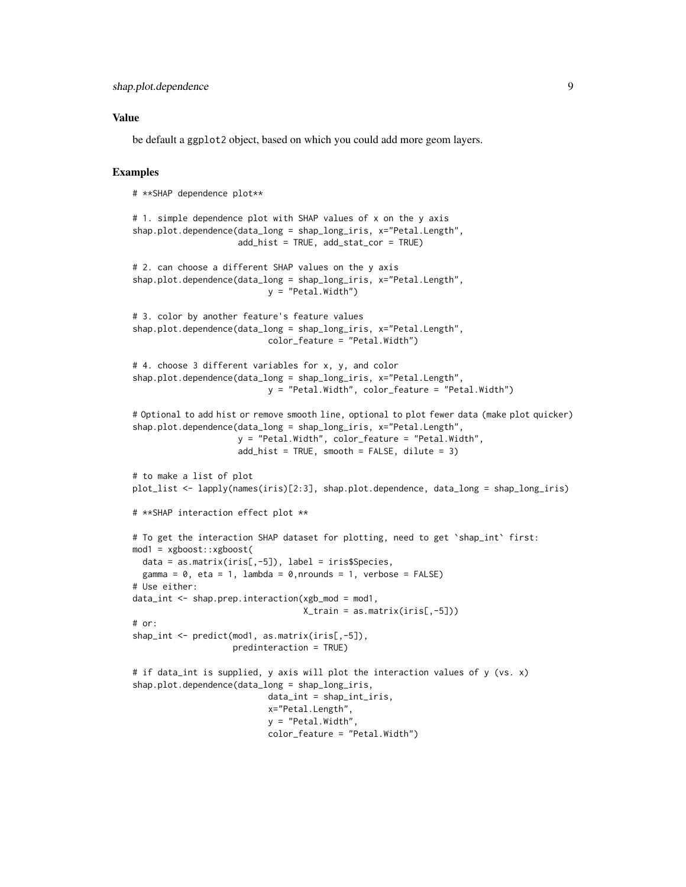### Value

be default a ggplot2 object, based on which you could add more geom layers.

```
# **SHAP dependence plot**
# 1. simple dependence plot with SHAP values of x on the y axis
shap.plot.dependence(data_long = shap_long_iris, x="Petal.Length",
                     add_hist = TRUE, add_stat_cor = TRUE)
# 2. can choose a different SHAP values on the y axis
shap.plot.dependence(data_long = shap_long_iris, x="Petal.Length",
                           y = "Petal.Width")# 3. color by another feature's feature values
shap.plot.dependence(data_long = shap_long_iris, x="Petal.Length",
                           color_feature = "Petal.Width")
# 4. choose 3 different variables for x, y, and color
shap.plot.dependence(data_long = shap_long_iris, x="Petal.Length",
                           y = "Petal.Width", color_feature = "Petal.Width")
# Optional to add hist or remove smooth line, optional to plot fewer data (make plot quicker)
shap.plot.dependence(data_long = shap_long_iris, x="Petal.Length",
                     y = "Petal.Width", color_feature = "Petal.Width",
                     add\_hist = TRUE, smooth = FALSE, dilute = 3)# to make a list of plot
plot_list <- lapply(names(iris)[2:3], shap.plot.dependence, data_long = shap_long_iris)
# **SHAP interaction effect plot **
# To get the interaction SHAP dataset for plotting, need to get `shap_int` first:
mod1 = xgboost::xgboost(
 data = as.matrix(iris[,-5]), label = iris$Species,
 gamma = 0, eta = 1, lambda = 0, nrounds = 1, verbose = FALSE)
# Use either:
data_int <- shap.prep.interaction(xgb_mod = mod1,
                                  X_train = as.matrix(iris[,-5]))
# or:
shap_int <- predict(mod1, as.matrix(iris[,-5]),
                    predinteraction = TRUE)
# if data_int is supplied, y axis will plot the interaction values of y (vs. x)
shap.plot.dependence(data_long = shap_long_iris,
                           data_int = shap_int_iris,
                           x="Petal.Length",
                           y = "Petal.Width",
                           color_feature = "Petal.Width")
```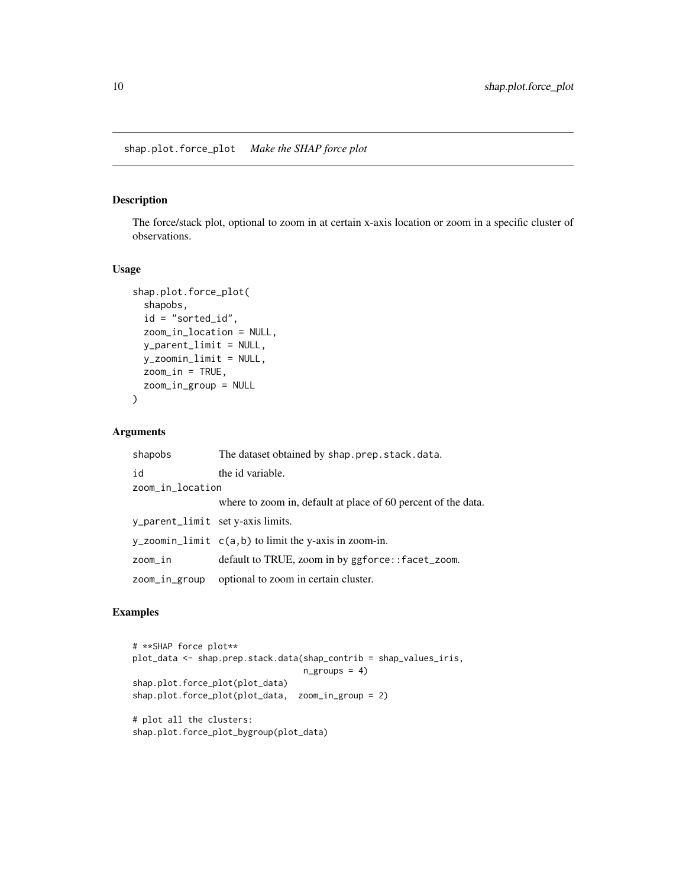# <span id="page-9-0"></span>Description

The force/stack plot, optional to zoom in at certain x-axis location or zoom in a specific cluster of observations.

### Usage

```
shap.plot.force_plot(
 shapobs,
 id = "sorted_id",
 zoom_in_location = NULL,
 y_parent_limit = NULL,
 y_zoomin_limit = NULL,
 zoom_in = TRUE,zoom_in_group = NULL
)
```
# Arguments

| shapobs                           | The dataset obtained by shap.prep.stack.data.                 |
|-----------------------------------|---------------------------------------------------------------|
| id                                | the id variable.                                              |
| zoom_in_location                  |                                                               |
|                                   | where to zoom in, default at place of 60 percent of the data. |
| y_parent_limit set y-axis limits. |                                                               |
|                                   | y_zoomin_limit $c(a,b)$ to limit the y-axis in zoom-in.       |
| zoom_in                           | default to TRUE, zoom in by ggforce::facet_zoom.              |
| zoom_in_group                     | optional to zoom in certain cluster.                          |

```
# **SHAP force plot**
plot_data <- shap.prep.stack.data(shap_contrib = shap_values_iris,
                                  n_{\text{g}roups} = 4)
shap.plot.force_plot(plot_data)
shap.plot.force_plot(plot_data, zoom_in_group = 2)
# plot all the clusters:
shap.plot.force_plot_bygroup(plot_data)
```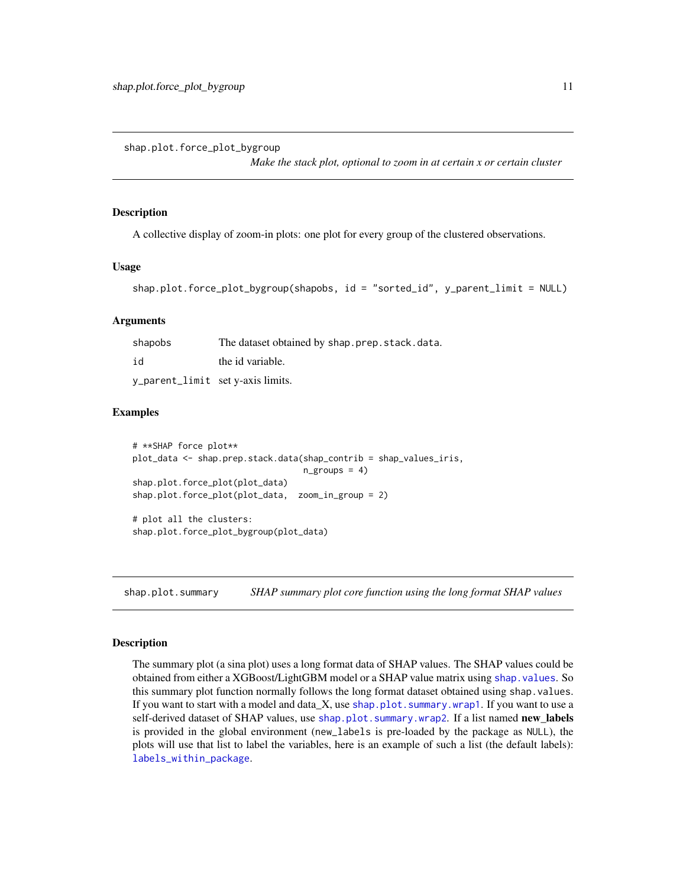<span id="page-10-2"></span><span id="page-10-0"></span>shap.plot.force\_plot\_bygroup

*Make the stack plot, optional to zoom in at certain x or certain cluster*

#### Description

A collective display of zoom-in plots: one plot for every group of the clustered observations.

#### Usage

```
shap.plot.force_plot_bygroup(shapobs, id = "sorted_id", y_parent_limit = NULL)
```
#### Arguments

| shapobs                           | The dataset obtained by shap.prep.stack.data. |
|-----------------------------------|-----------------------------------------------|
| id                                | the id variable.                              |
| y_parent_limit set y-axis limits. |                                               |

# Examples

```
# **SHAP force plot**
plot_data <- shap.prep.stack.data(shap_contrib = shap_values_iris,
                                   n_{\text{groups}} = 4shap.plot.force_plot(plot_data)
shap.plot.force_plot(plot_data, zoom_in_group = 2)
# plot all the clusters:
```

```
shap.plot.force_plot_bygroup(plot_data)
```
<span id="page-10-1"></span>shap.plot.summary *SHAP summary plot core function using the long format SHAP values*

#### Description

The summary plot (a sina plot) uses a long format data of SHAP values. The SHAP values could be obtained from either a XGBoost/LightGBM model or a SHAP value matrix using [shap.values](#page-18-1). So this summary plot function normally follows the long format dataset obtained using shap.values. If you want to start with a model and data  $X$ , use [shap.plot.summary.wrap1](#page-12-1). If you want to use a self-derived dataset of SHAP values, use [shap.plot.summary.wrap2](#page-13-1). If a list named **new\_labels** is provided in the global environment (new\_labels is pre-loaded by the package as NULL), the plots will use that list to label the variables, here is an example of such a list (the default labels): [labels\\_within\\_package](#page-2-1).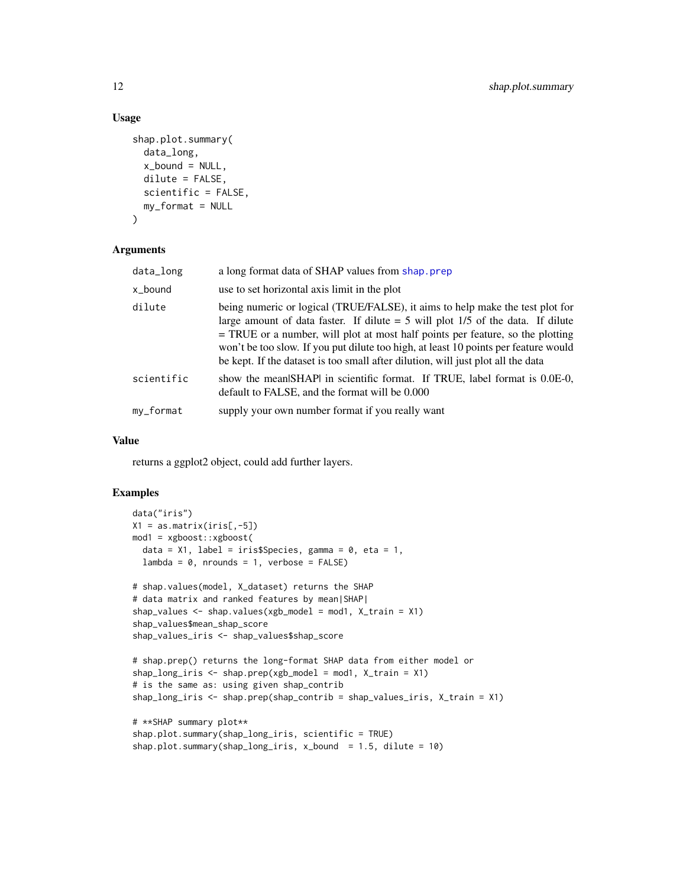# Usage

```
shap.plot.summary(
  data_long,
 x_bound = NULL,
 dilute = FALSE,
 scientific = FALSE,
 my_format = NULL
)
```
# Arguments

| data_long  | a long format data of SHAP values from shap, prep                                                                                                                                                                                                                                                                                                                                                                                 |
|------------|-----------------------------------------------------------------------------------------------------------------------------------------------------------------------------------------------------------------------------------------------------------------------------------------------------------------------------------------------------------------------------------------------------------------------------------|
| x_bound    | use to set horizontal axis limit in the plot                                                                                                                                                                                                                                                                                                                                                                                      |
| dilute     | being numeric or logical (TRUE/FALSE), it aims to help make the test plot for<br>large amount of data faster. If dilute $=$ 5 will plot 1/5 of the data. If dilute<br>$=$ TRUE or a number, will plot at most half points per feature, so the plotting<br>won't be too slow. If you put dilute too high, at least 10 points per feature would<br>be kept. If the dataset is too small after dilution, will just plot all the data |
| scientific | show the mean SHAP in scientific format. If TRUE, label format is 0.0E-0,<br>default to FALSE, and the format will be 0.000                                                                                                                                                                                                                                                                                                       |
| my_format  | supply your own number format if you really want                                                                                                                                                                                                                                                                                                                                                                                  |

#### Value

returns a ggplot2 object, could add further layers.

```
data("iris")
X1 = as_matrix(iris[, -5])mod1 = xgboost::xgboost(
  data = X1, label = iris$Species, gamma = 0, eta = 1,
  lambda = 0, nrounds = 1, verbose = FALSE)
# shap.values(model, X_dataset) returns the SHAP
# data matrix and ranked features by mean|SHAP|
shap_values <- shap.values(xgb_model = mod1, X_train = X1)
shap_values$mean_shap_score
shap_values_iris <- shap_values$shap_score
# shap.prep() returns the long-format SHAP data from either model or
shap_long_iris <- shap.prep(xgb_model = mod1, X_train = X1)
# is the same as: using given shap_contrib
shap_long_iris <- shap.prep(shap_contrib = shap_values_iris, X_train = X1)
# **SHAP summary plot**
shap.plot.summary(shap_long_iris, scientific = TRUE)
```

```
shap.plot.summary(shap_long_iris, x_bound = 1.5, dilute = 10)
```
<span id="page-11-0"></span>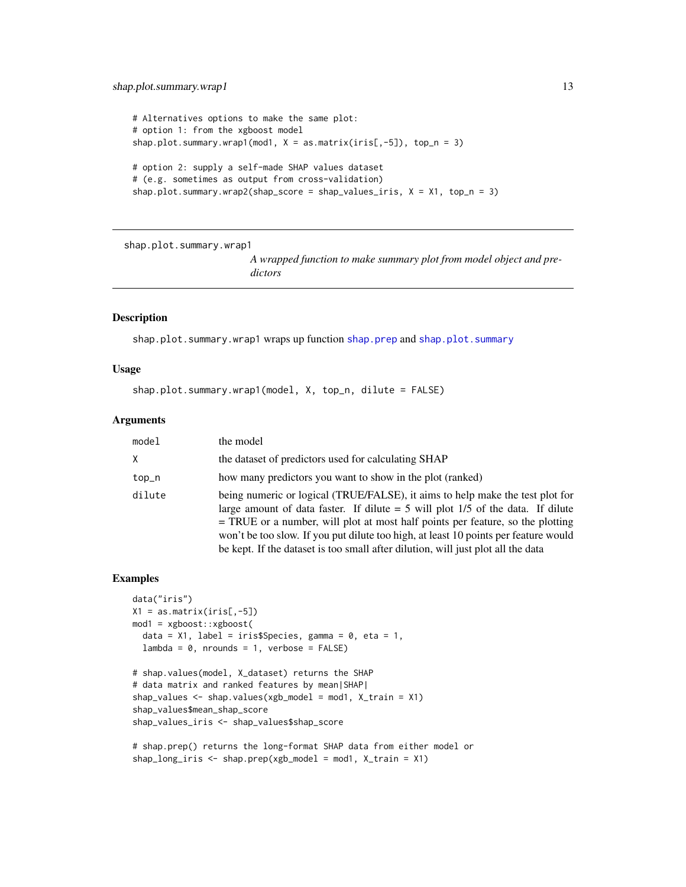# <span id="page-12-0"></span>shap.plot.summary.wrap1 13

```
# Alternatives options to make the same plot:
# option 1: from the xgboost model
shap.plot.summary.wrap1(mod1, X = as_matrix(iris[, -5]), top_n = 3)
# option 2: supply a self-made SHAP values dataset
# (e.g. sometimes as output from cross-validation)
shap.plot.summary.wrap2(shap_score = shap_values_iris, X = X1, top_n = 3)
```
<span id="page-12-1"></span>shap.plot.summary.wrap1

*A wrapped function to make summary plot from model object and predictors*

# Description

shap.plot.summary.wrap1 wraps up function [shap.prep](#page-14-1) and [shap.plot.summary](#page-10-1)

#### Usage

shap.plot.summary.wrap1(model, X, top\_n, dilute = FALSE)

#### Arguments

| model  | the model                                                                                                                                                                                                                                                                                                                                                                                                                       |
|--------|---------------------------------------------------------------------------------------------------------------------------------------------------------------------------------------------------------------------------------------------------------------------------------------------------------------------------------------------------------------------------------------------------------------------------------|
| x      | the dataset of predictors used for calculating SHAP                                                                                                                                                                                                                                                                                                                                                                             |
| top_n  | how many predictors you want to show in the plot (ranked)                                                                                                                                                                                                                                                                                                                                                                       |
| dilute | being numeric or logical (TRUE/FALSE), it aims to help make the test plot for<br>large amount of data faster. If dilute $=$ 5 will plot 1/5 of the data. If dilute<br>= TRUE or a number, will plot at most half points per feature, so the plotting<br>won't be too slow. If you put dilute too high, at least 10 points per feature would<br>be kept. If the dataset is too small after dilution, will just plot all the data |

```
data("iris")
X1 = as_matrix(iris[, -5])mod1 = xgboost::xgboost(
  data = X1, label = iris$Species, gamma = 0, eta = 1,
  lambda = 0, nrounds = 1, verbose = FALSE)
# shap.values(model, X_dataset) returns the SHAP
# data matrix and ranked features by mean|SHAP|
shap_values <- shap.values(xgb_model = mod1, X_train = X1)
shap_values$mean_shap_score
shap_values_iris <- shap_values$shap_score
```

```
# shap.prep() returns the long-format SHAP data from either model or
shap\_long\_iris \leftarrow shap.prep(xgb\_model = mod1, X_train = X1)
```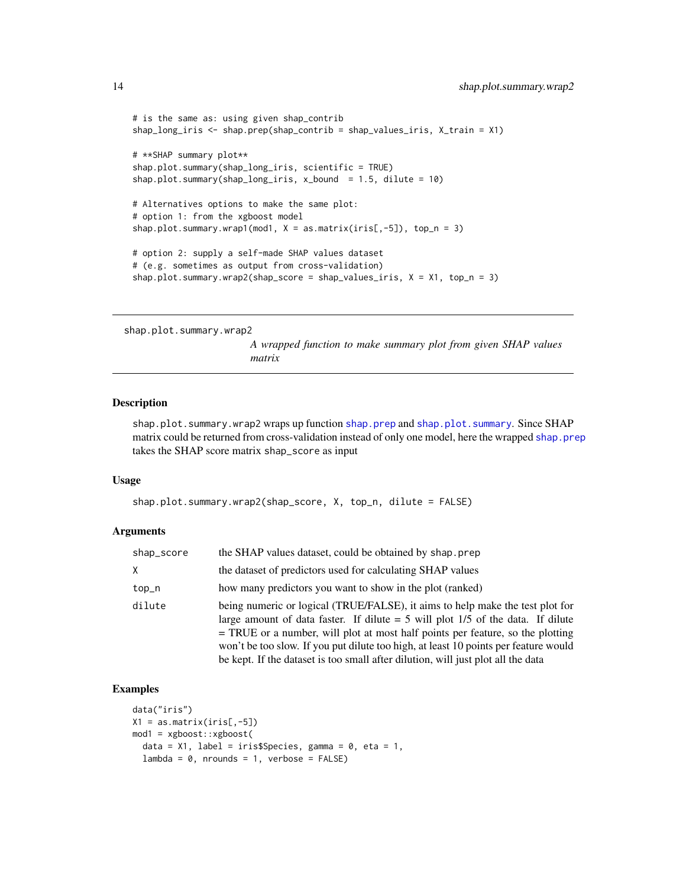```
# is the same as: using given shap_contrib
shap_long_iris <- shap.prep(shap_contrib = shap_values_iris, X_train = X1)
# **SHAP summary plot**
shap.plot.summary(shap_long_iris, scientific = TRUE)
shap.plot.summary(shap_long_iris, x_bound = 1.5, dilute = 10)
# Alternatives options to make the same plot:
# option 1: from the xgboost model
shap.plot.summary.wrap1(mod1, X = as.matrix(iris[, -5]), top_n = 3)
# option 2: supply a self-made SHAP values dataset
# (e.g. sometimes as output from cross-validation)
shap.plot.summary.wrap2(shap_score = shap_values_iris, X = X1, top_n = 3)
```
<span id="page-13-1"></span>shap.plot.summary.wrap2

*A wrapped function to make summary plot from given SHAP values matrix*

#### Description

shap.plot.summary.wrap2 wraps up function [shap.prep](#page-14-1) and [shap.plot.summary](#page-10-1). Since SHAP matrix could be returned from cross-validation instead of only one model, here the wrapped [shap.prep](#page-14-1) takes the SHAP score matrix shap\_score as input

### Usage

```
shap.plot.summary.wrap2(shap_score, X, top_n, dilute = FALSE)
```
#### Arguments

| shap_score | the SHAP values dataset, could be obtained by shap.prep                                                                                                                                                                                                                                                                                                                                                                         |
|------------|---------------------------------------------------------------------------------------------------------------------------------------------------------------------------------------------------------------------------------------------------------------------------------------------------------------------------------------------------------------------------------------------------------------------------------|
| X          | the dataset of predictors used for calculating SHAP values                                                                                                                                                                                                                                                                                                                                                                      |
| top_n      | how many predictors you want to show in the plot (ranked)                                                                                                                                                                                                                                                                                                                                                                       |
| dilute     | being numeric or logical (TRUE/FALSE), it aims to help make the test plot for<br>large amount of data faster. If dilute $=$ 5 will plot 1/5 of the data. If dilute<br>= TRUE or a number, will plot at most half points per feature, so the plotting<br>won't be too slow. If you put dilute too high, at least 10 points per feature would<br>be kept. If the dataset is too small after dilution, will just plot all the data |

```
data("iris")
X1 = as.matrix(iris[, -5])mod1 = xgboost::xgboost(
  data = X1, label = iris$Species, gamma = 0, eta = 1,
  lambda = 0, nrounds = 1, verbose = FALSE)
```
<span id="page-13-0"></span>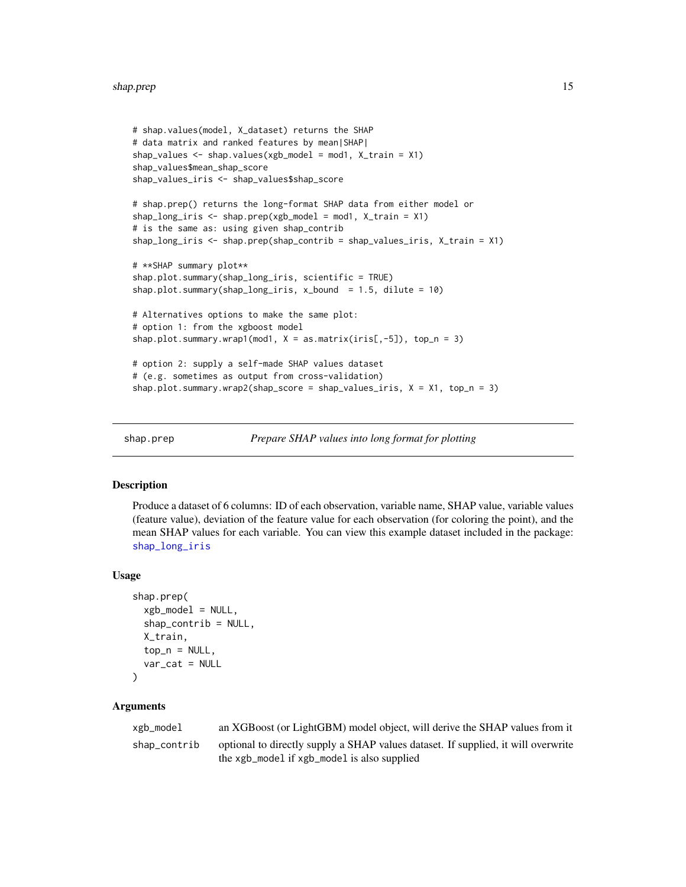#### <span id="page-14-0"></span>shap.prep 15

```
# shap.values(model, X_dataset) returns the SHAP
# data matrix and ranked features by mean|SHAP|
shap_values \leq shap.values(xgb_model = mod1, X_train = X1)
shap_values$mean_shap_score
shap_values_iris <- shap_values$shap_score
# shap.prep() returns the long-format SHAP data from either model or
shap\_long\_iris \leq - shap.prep(xgb\_model = mod1, X_train = X1)# is the same as: using given shap_contrib
shap_long_iris <- shap.prep(shap_contrib = shap_values_iris, X_train = X1)
# **SHAP summary plot**
shap.plot.summary(shap_long_iris, scientific = TRUE)
shap.plot.summary(shap_long_iris, x_bound = 1.5, dilute = 10)
# Alternatives options to make the same plot:
# option 1: from the xgboost model
shap.plot.summary.wrap1(mod1, X = as_matrix(iris[, -5]), top_n = 3)
# option 2: supply a self-made SHAP values dataset
# (e.g. sometimes as output from cross-validation)
shap.plot.summary.wrap2(shap_score = shap_values_iris, X = X1, top_n = 3)
```
<span id="page-14-1"></span>

```
shap.prep Prepare SHAP values into long format for plotting
```
#### Description

Produce a dataset of 6 columns: ID of each observation, variable name, SHAP value, variable values (feature value), deviation of the feature value for each observation (for coloring the point), and the mean SHAP values for each variable. You can view this example dataset included in the package: [shap\\_long\\_iris](#page-19-1)

#### Usage

```
shap.prep(
  xgb_model = NULL,
  shape_{control} = NULL,
  X_train,
  top_n = NULL,var_cat = NULL\lambda
```
#### Arguments

| xgb_model    | an XGBoost (or LightGBM) model object, will derive the SHAP values from it                                                       |
|--------------|----------------------------------------------------------------------------------------------------------------------------------|
| shap_contrib | optional to directly supply a SHAP values dataset. If supplied, it will overwrite<br>the xgb_model if xgb_model is also supplied |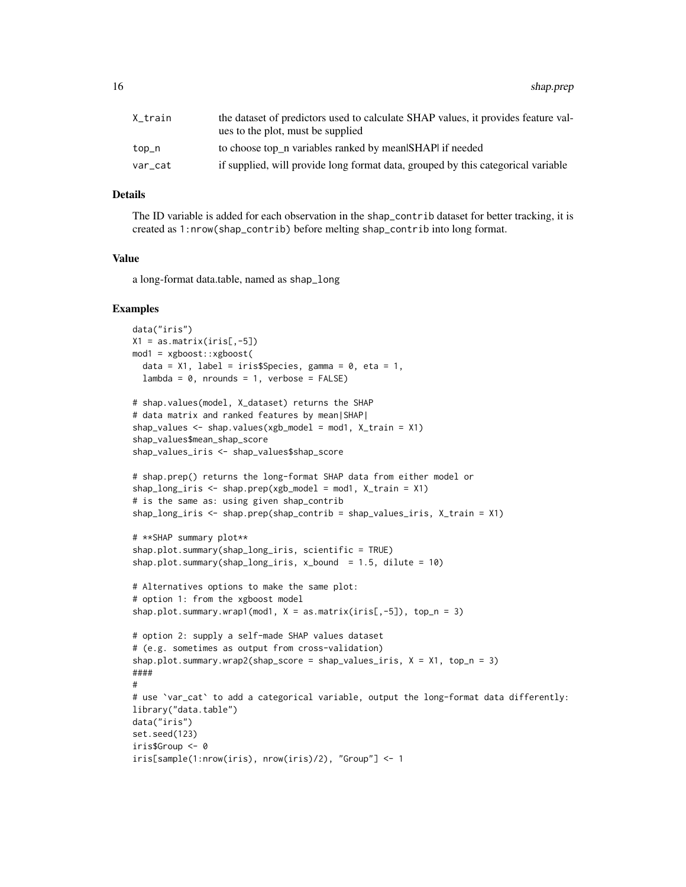| X_train | the dataset of predictors used to calculate SHAP values, it provides feature val-<br>ues to the plot, must be supplied |
|---------|------------------------------------------------------------------------------------------------------------------------|
| top_n   | to choose top_n variables ranked by mean SHAP if needed                                                                |
| var cat | if supplied, will provide long format data, grouped by this categorical variable                                       |

#### Details

The ID variable is added for each observation in the shap\_contrib dataset for better tracking, it is created as 1:nrow(shap\_contrib) before melting shap\_contrib into long format.

# Value

a long-format data.table, named as shap\_long

```
data("iris")
X1 = as_matrix(iris[, -5])mod1 = xgboost::xgboost(
  data = X1, label = iris$Species, gamma = 0, eta = 1,
  lambda = 0, nrounds = 1, verbose = FALSE)
# shap.values(model, X_dataset) returns the SHAP
# data matrix and ranked features by mean|SHAP|
shap_values <- shap.values(xgb_model = mod1, X_train = X1)
shap_values$mean_shap_score
shap_values_iris <- shap_values$shap_score
# shap.prep() returns the long-format SHAP data from either model or
shap_long_iris <- shap.prep(xgb_model = mod1, X_train = X1)
# is the same as: using given shap_contrib
shap_long_iris <- shap.prep(shap_contrib = shap_values_iris, X_train = X1)
# **SHAP summary plot**
shap.plot.summary(shap_long_iris, scientific = TRUE)
shap.plot.summary(shap_long_iris, x_bbound = 1.5, dilute = 10)
# Alternatives options to make the same plot:
# option 1: from the xgboost model
shap.plot.summary.wrap1(mod1, X = as_matrix(iris[, -5]), top_n = 3)
# option 2: supply a self-made SHAP values dataset
# (e.g. sometimes as output from cross-validation)
shap.plot.summary.wrap2(shap_score = shap_values_iris, X = X1, top_n = 3)
####
#
# use 'var_cat' to add a categorical variable, output the long-format data differently:
library("data.table")
data("iris")
set.seed(123)
iris$Group <- 0
iris[sample(1:nrow(iris), nrow(iris)/2), "Group"] <- 1
```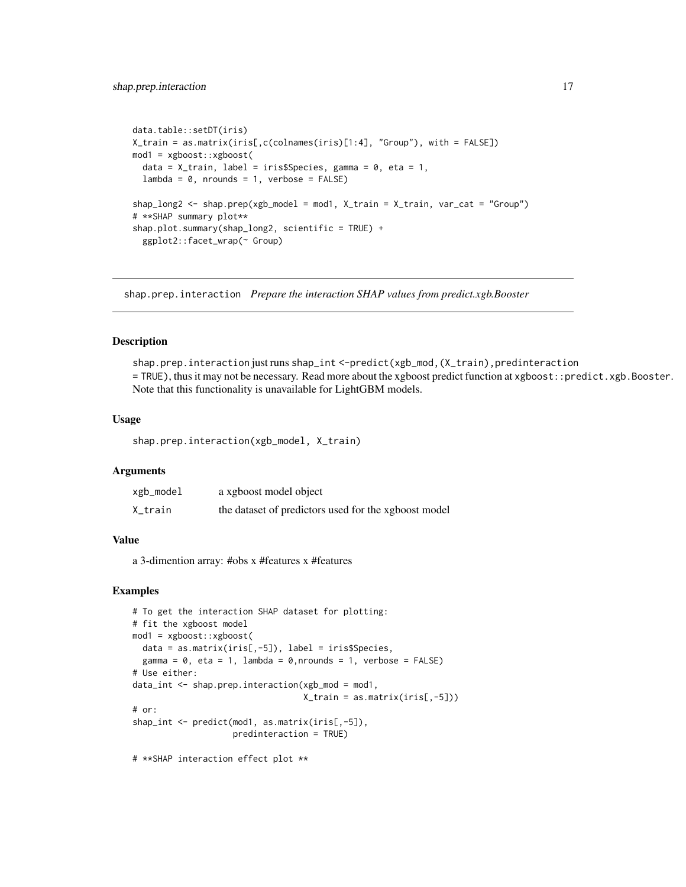```
data.table::setDT(iris)
X_train = as.matrix(iris[,c(colnames(iris)[1:4], "Group"), with = FALSE])
mod1 = xgboost::xgboost(
 data = X_train, label = iris$Species, gamma = 0, eta = 1,
  lambda = 0, nrounds = 1, verbose = FALSE)
shap_long2 <- shap.prep(xgb_model = mod1, X_train = X_train, var_cat = "Group")
# **SHAP summary plot**
shap.plot.summary(shap_long2, scientific = TRUE) +
  ggplot2::facet_wrap(~ Group)
```
<span id="page-16-1"></span>shap.prep.interaction *Prepare the interaction SHAP values from predict.xgb.Booster*

#### **Description**

shap.prep.interaction just runs shap\_int <-predict(xgb\_mod,(X\_train),predinteraction = TRUE), thus it may not be necessary. Read more about the xgboost predict function at xgboost::predict.xgb.Booster. Note that this functionality is unavailable for LightGBM models.

#### Usage

shap.prep.interaction(xgb\_model, X\_train)

# Arguments

| xgb_model | a xgboost model object                               |
|-----------|------------------------------------------------------|
| X_train   | the dataset of predictors used for the xgboost model |

# Value

a 3-dimention array: #obs x #features x #features

#### Examples

```
# To get the interaction SHAP dataset for plotting:
# fit the xgboost model
mod1 = xgboost::xgboost(
  data = as.matrix(iris[,-5]), label = iris$Species,
  gamma = 0, eta = 1, lambda = 0, nrounds = 1, verbose = FALSE)
# Use either:
data_int <- shap.prep.interaction(xgb_mod = mod1,
                                  X_train = as.matrix(iris[,-5]))
# or:
shap_int <- predict(mod1, as.matrix(iris[,-5]),
                    predinteraction = TRUE)
```
# \*\*SHAP interaction effect plot \*\*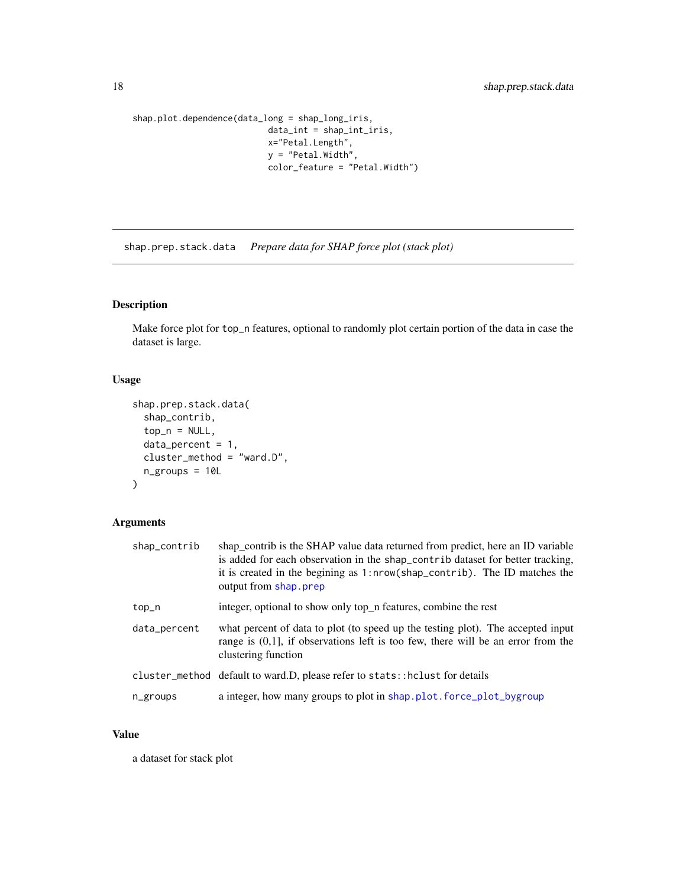```
shap.plot.dependence(data_long = shap_long_iris,
                          data_int = shap_int_iris,
                           x="Petal.Length",
                           y = "Petal.Width",
                           color_feature = "Petal.Width")
```
shap.prep.stack.data *Prepare data for SHAP force plot (stack plot)*

# Description

Make force plot for top\_n features, optional to randomly plot certain portion of the data in case the dataset is large.

# Usage

```
shap.prep.stack.data(
  shap_contrib,
  top_n = NULL,data_percent = 1,
 cluster_method = "ward.D",
 n_groups = 10L
)
```
# Arguments

| shap_contrib | shap_contrib is the SHAP value data returned from predict, here an ID variable<br>is added for each observation in the shap_contrib dataset for better tracking,<br>it is created in the begining as 1:nrow(shap_contrib). The ID matches the<br>output from shap.prep |
|--------------|------------------------------------------------------------------------------------------------------------------------------------------------------------------------------------------------------------------------------------------------------------------------|
| top_n        | integer, optional to show only top_n features, combine the rest                                                                                                                                                                                                        |
| data_percent | what percent of data to plot (to speed up the testing plot). The accepted input<br>range is $(0,1]$ , if observations left is too few, there will be an error from the<br>clustering function                                                                          |
|              | cluster_method default to ward.D, please refer to stats::hclust for details                                                                                                                                                                                            |
| n_groups     | a integer, how many groups to plot in shap.plot.force_plot_bygroup                                                                                                                                                                                                     |

# Value

a dataset for stack plot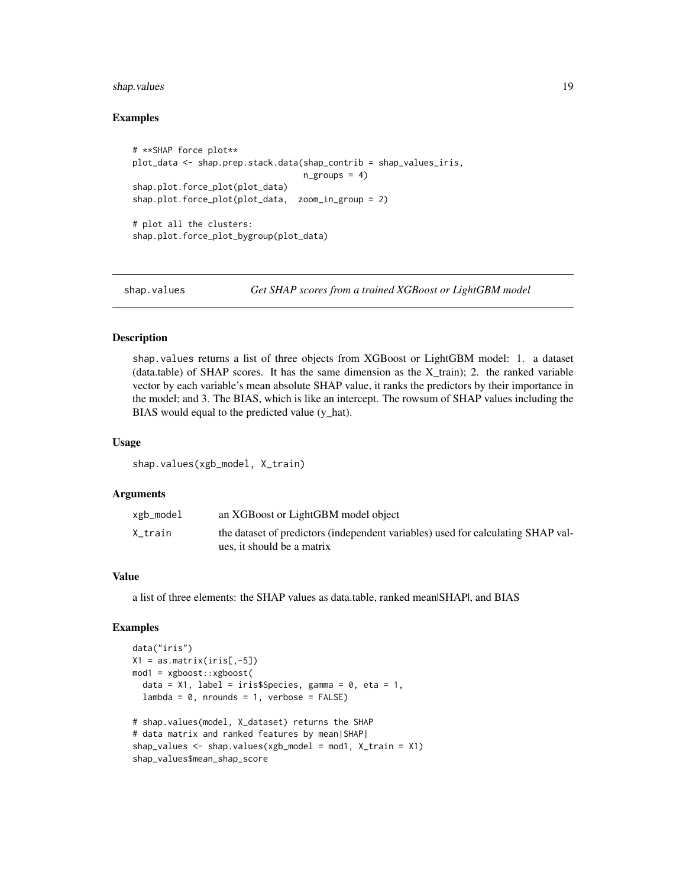# <span id="page-18-0"></span>shap.values 19

### Examples

```
# **SHAP force plot**
plot_data <- shap.prep.stack.data(shap_contrib = shap_values_iris,
                                   n_{\text{groups}} = 4shap.plot.force_plot(plot_data)
shap.plot.force_plot(plot_data, zoom_in_group = 2)
# plot all the clusters:
shap.plot.force_plot_bygroup(plot_data)
```
<span id="page-18-1"></span>shap.values *Get SHAP scores from a trained XGBoost or LightGBM model*

#### Description

shap.values returns a list of three objects from XGBoost or LightGBM model: 1. a dataset (data.table) of SHAP scores. It has the same dimension as the X train); 2. the ranked variable vector by each variable's mean absolute SHAP value, it ranks the predictors by their importance in the model; and 3. The BIAS, which is like an intercept. The rowsum of SHAP values including the BIAS would equal to the predicted value (y\_hat).

# Usage

shap.values(xgb\_model, X\_train)

### Arguments

| xgb_model | an XGBoost or LightGBM model object                                                                            |
|-----------|----------------------------------------------------------------------------------------------------------------|
| X_train   | the dataset of predictors (independent variables) used for calculating SHAP val-<br>ues, it should be a matrix |

#### Value

a list of three elements: the SHAP values as data.table, ranked mean|SHAP|, and BIAS

```
data("iris")
X1 = as_matrix(iris[, -5])mod1 = xgboost::xgboost(
  data = X1, label = iris$Species, gamma = 0, eta = 1,
  lambda = 0, nrounds = 1, verbose = FALSE)
# shap.values(model, X_dataset) returns the SHAP
# data matrix and ranked features by mean|SHAP|
shap_values \leq shap.values(xgb_model = mod1, X_train = X1)
shap_values$mean_shap_score
```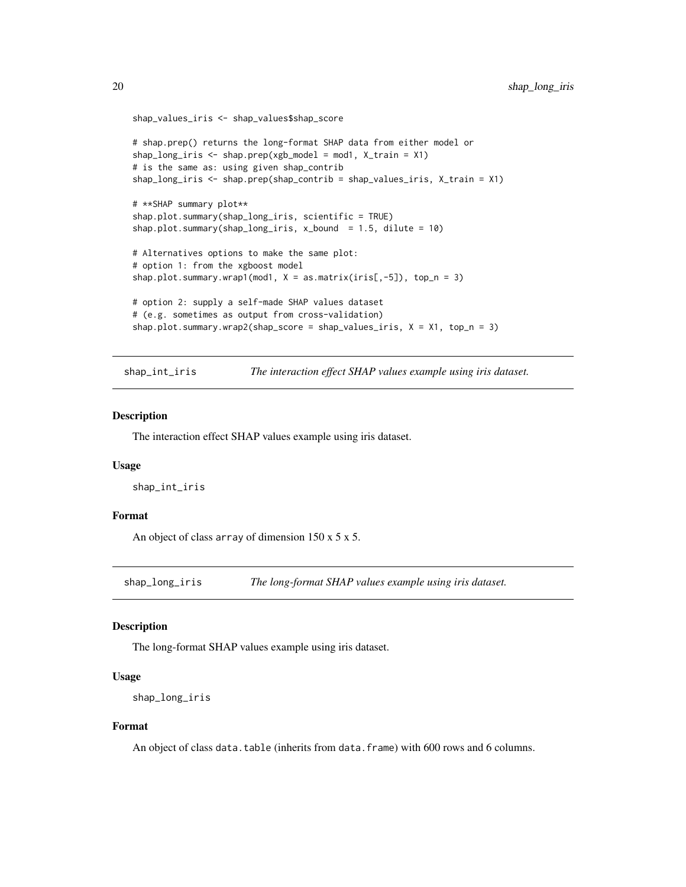```
shap_values_iris <- shap_values$shap_score
# shap.prep() returns the long-format SHAP data from either model or
shap_long_iris \leq shap.prep(xgb_model = mod1, X_train = X1)
# is the same as: using given shap_contrib
shap_long_iris <- shap.prep(shap_contrib = shap_values_iris, X_train = X1)
# **SHAP summary plot**
shap.plot.summary(shap_long_iris, scientific = TRUE)
shap.plot.summary(shap_long_iris, x_bound = 1.5, dilute = 10)
# Alternatives options to make the same plot:
# option 1: from the xgboost model
shap.plot.summary.wrap1(mod1, X = as_matrix(iris[, -5]), top_n = 3)
# option 2: supply a self-made SHAP values dataset
# (e.g. sometimes as output from cross-validation)
shap.plot.summary.wrap2(shap_score = shap_values_iris, X = X1, top_n = 3)
```
shap\_int\_iris *The interaction effect SHAP values example using iris dataset.*

#### Description

The interaction effect SHAP values example using iris dataset.

### Usage

shap\_int\_iris

# Format

An object of class array of dimension  $150 \times 5 \times 5$ .

<span id="page-19-1"></span>shap\_long\_iris *The long-format SHAP values example using iris dataset.*

#### **Description**

The long-format SHAP values example using iris dataset.

#### Usage

```
shap_long_iris
```
#### Format

An object of class data.table (inherits from data.frame) with 600 rows and 6 columns.

<span id="page-19-0"></span>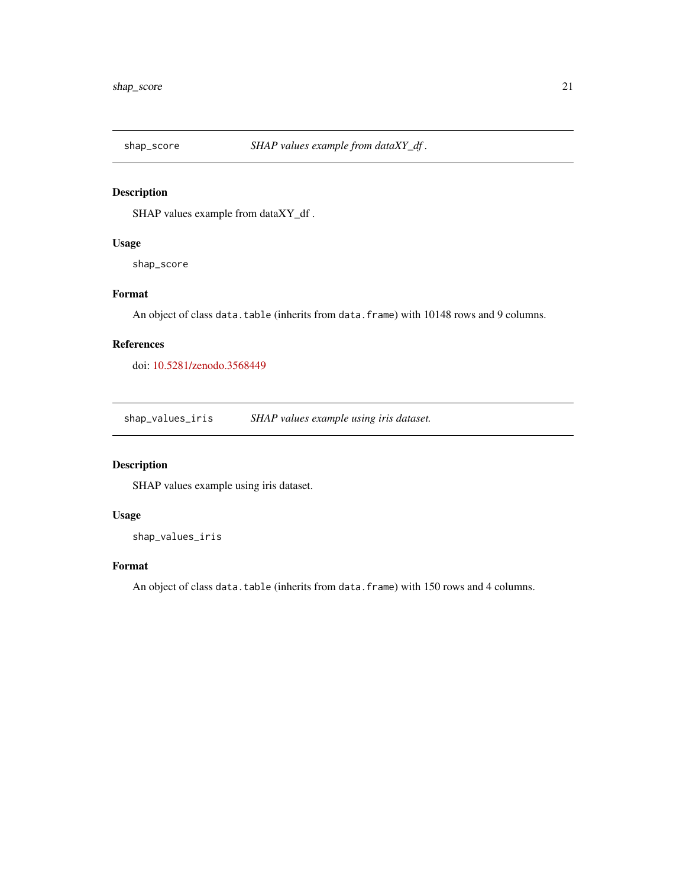<span id="page-20-0"></span>

# Description

SHAP values example from dataXY\_df .

# Usage

shap\_score

# Format

An object of class data.table (inherits from data.frame) with 10148 rows and 9 columns.

# References

doi: [10.5281/zenodo.3568449](https://doi.org/10.5281/zenodo.3568449)

shap\_values\_iris *SHAP values example using iris dataset.*

# Description

SHAP values example using iris dataset.

### Usage

shap\_values\_iris

# Format

An object of class data.table (inherits from data.frame) with 150 rows and 4 columns.